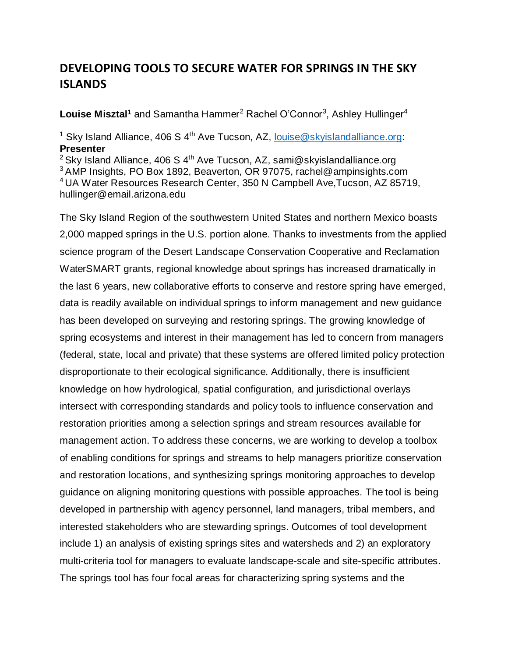## **DEVELOPING TOOLS TO SECURE WATER FOR SPRINGS IN THE SKY ISLANDS**

Louise Misztal<sup>1</sup> and Samantha Hammer<sup>2</sup> Rachel O'Connor<sup>3</sup>, Ashley Hullinger<sup>4</sup>

<sup>1</sup> Sky Island Alliance, 406 S  $4<sup>th</sup>$  Ave Tucson, AZ, [louise@skyislandalliance.org:](mailto:louise@skyislandalliance.org) **Presenter**

<sup>2</sup> Sky Island Alliance, 406 S  $4<sup>th</sup>$  Ave Tucson, AZ, sami@skyislandalliance.org <sup>3</sup>AMP Insights, PO Box 1892, Beaverton, OR 97075, rachel@ampinsights.com <sup>4</sup>UA Water Resources Research Center, 350 N Campbell Ave,Tucson, AZ 85719, hullinger@email.arizona.edu

The Sky Island Region of the southwestern United States and northern Mexico boasts 2,000 mapped springs in the U.S. portion alone. Thanks to investments from the applied science program of the Desert Landscape Conservation Cooperative and Reclamation WaterSMART grants, regional knowledge about springs has increased dramatically in the last 6 years, new collaborative efforts to conserve and restore spring have emerged, data is readily available on individual springs to inform management and new guidance has been developed on surveying and restoring springs. The growing knowledge of spring ecosystems and interest in their management has led to concern from managers (federal, state, local and private) that these systems are offered limited policy protection disproportionate to their ecological significance. Additionally, there is insufficient knowledge on how hydrological, spatial configuration, and jurisdictional overlays intersect with corresponding standards and policy tools to influence conservation and restoration priorities among a selection springs and stream resources available for management action. To address these concerns, we are working to develop a toolbox of enabling conditions for springs and streams to help managers prioritize conservation and restoration locations, and synthesizing springs monitoring approaches to develop guidance on aligning monitoring questions with possible approaches. The tool is being developed in partnership with agency personnel, land managers, tribal members, and interested stakeholders who are stewarding springs. Outcomes of tool development include 1) an analysis of existing springs sites and watersheds and 2) an exploratory multi-criteria tool for managers to evaluate landscape-scale and site-specific attributes. The springs tool has four focal areas for characterizing spring systems and the